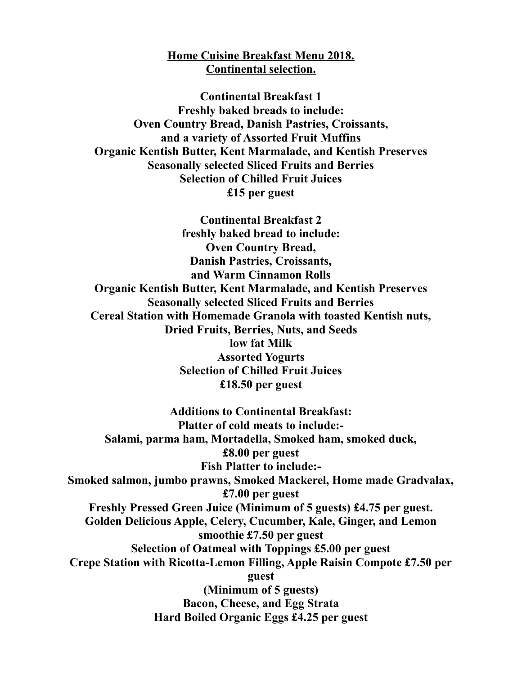## **Home Cuisine Breakfast Menu 2018. Continental selection.**

**Continental Breakfast 1 Freshly baked breads to include: Oven Country Bread, Danish Pastries, Croissants, and a variety of Assorted Fruit Muffins Organic Kentish Butter, Kent Marmalade, and Kentish Preserves Seasonally selected Sliced Fruits and Berries Selection of Chilled Fruit Juices £15 per guest**

**Continental Breakfast 2 freshly baked bread to include: Oven Country Bread, Danish Pastries, Croissants, and Warm Cinnamon Rolls Organic Kentish Butter, Kent Marmalade, and Kentish Preserves Seasonally selected Sliced Fruits and Berries Cereal Station with Homemade Granola with toasted Kentish nuts, Dried Fruits, Berries, Nuts, and Seeds low fat Milk Assorted Yogurts Selection of Chilled Fruit Juices £18.50 per guest**

**Additions to Continental Breakfast: Platter of cold meats to include:- Salami, parma ham, Mortadella, Smoked ham, smoked duck, £8.00 per guest Fish Platter to include:- Smoked salmon, jumbo prawns, Smoked Mackerel, Home made Gradvalax, £7.00 per guest Freshly Pressed Green Juice (Minimum of 5 guests) £4.75 per guest. Golden Delicious Apple, Celery, Cucumber, Kale, Ginger, and Lemon smoothie £7.50 per guest Selection of Oatmeal with Toppings £5.00 per guest Crepe Station with Ricotta-Lemon Filling, Apple Raisin Compote £7.50 per guest (Minimum of 5 guests) Bacon, Cheese, and Egg Strata Hard Boiled Organic Eggs £4.25 per guest**